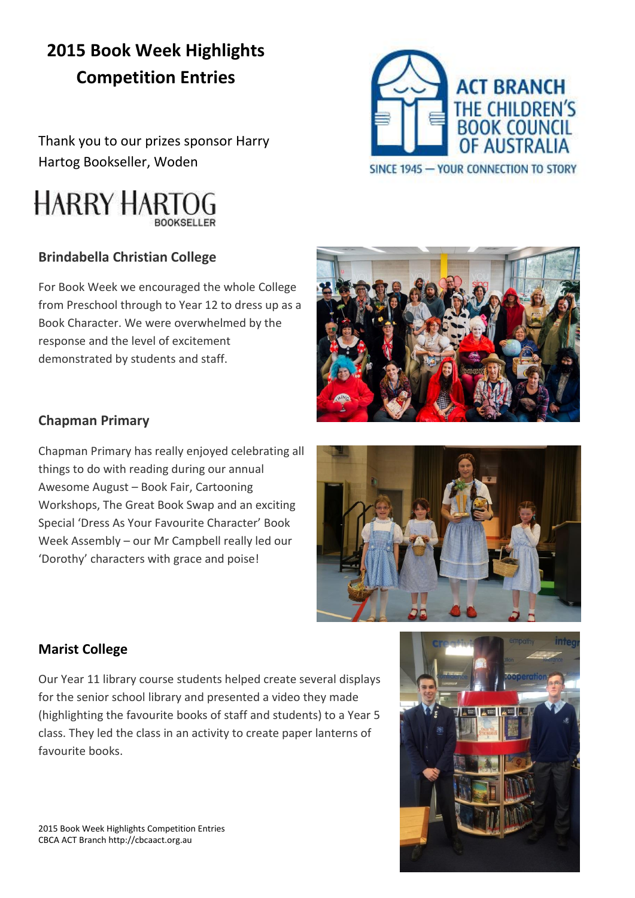# **2015 Book Week Highlights Competition Entries**

Thank you to our prizes sponsor Harry Hartog Bookseller, Woden

# **HARRY HARTOG**

#### **Brindabella Christian College**

For Book Week we encouraged the whole College from Preschool through to Year 12 to dress up as a Book Character. We were overwhelmed by the response and the level of excitement demonstrated by students and staff.

#### **Chapman Primary**

Chapman Primary has really enjoyed celebrating all things to do with reading during our annual Awesome August – Book Fair, Cartooning Workshops, The Great Book Swap and an exciting Special 'Dress As Your Favourite Character' Book Week Assembly – our Mr Campbell really led our 'Dorothy' characters with grace and poise!

#### **Marist College**

Our Year 11 library course students helped create several displays for the senior school library and presented a video they made (highlighting the favourite books of staff and students) to a Year 5 class. They led the class in an activity to create paper lanterns of favourite books.







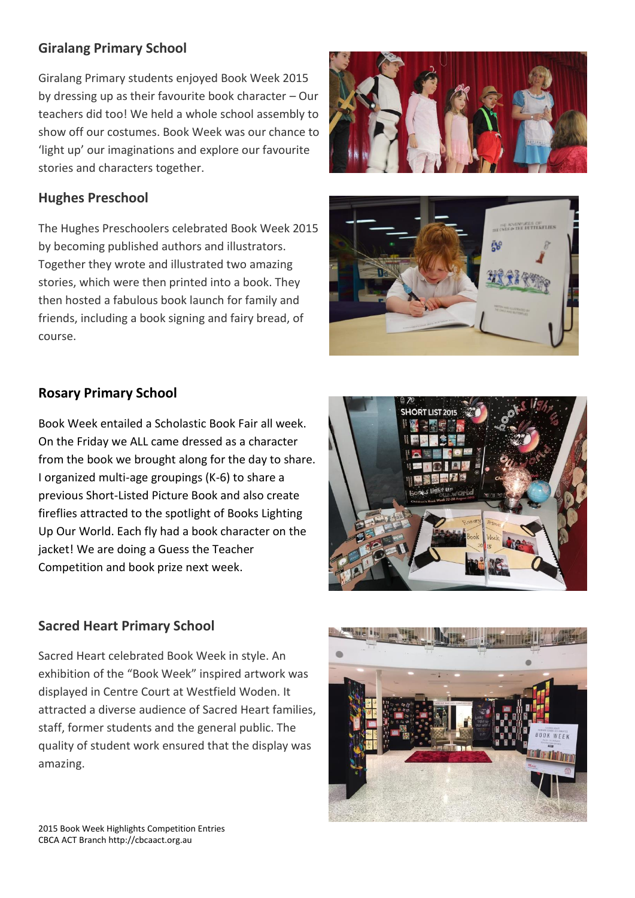#### **Giralang Primary School**

Giralang Primary students enjoyed Book Week 2015 by dressing up as their favourite book character – Our teachers did too! We held a whole school assembly to show off our costumes. Book Week was our chance to 'light up' our imaginations and explore our favourite stories and characters together.

#### **Hughes Preschool**

The Hughes Preschoolers celebrated Book Week 2015 by becoming published authors and illustrators. Together they wrote and illustrated two amazing stories, which were then printed into a book. They then hosted a fabulous book launch for family and friends, including a book signing and fairy bread, of course.





## **Rosary Primary School**

Book Week entailed a Scholastic Book Fair all week. On the Friday we ALL came dressed as a character from the book we brought along for the day to share. I organized multi-age groupings (K-6) to share a previous Short-Listed Picture Book and also create fireflies attracted to the spotlight of Books Lighting Up Our World. Each fly had a book character on the jacket! We are doing a Guess the Teacher Competition and book prize next week.



#### **Sacred Heart Primary School**

Sacred Heart celebrated Book Week in style. An exhibition of the "Book Week" inspired artwork was displayed in Centre Court at Westfield Woden. It attracted a diverse audience of Sacred Heart families, staff, former students and the general public. The quality of student work ensured that the display was amazing.